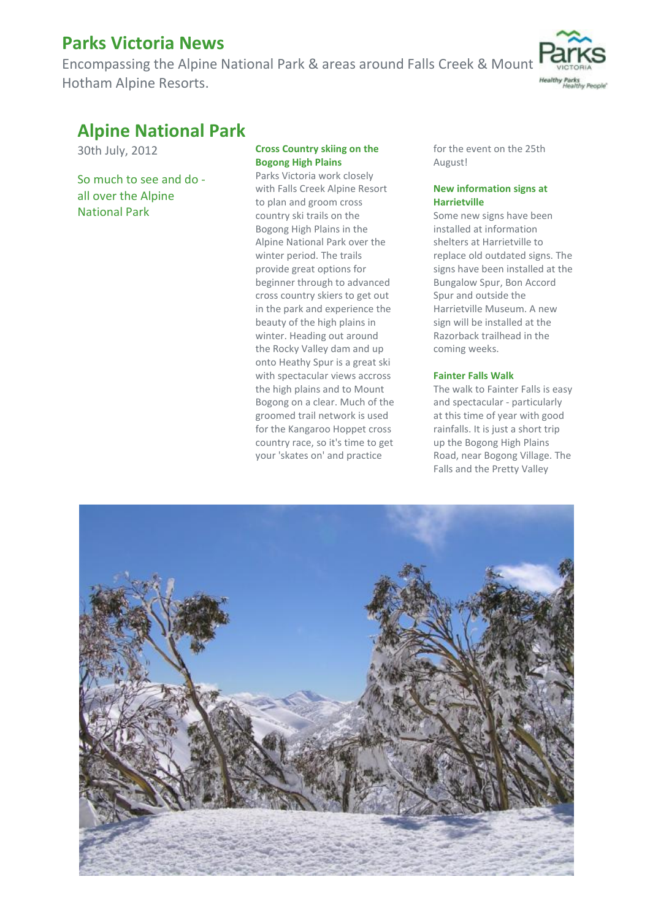# **Parks Victoria News**

Encompassing the Alpine National Park & areas around Falls Creek & Mount Hotham Alpine Resorts.



# **Alpine National Park**

30th July, 2012

So much to see and do all over the Alpine National Park

### **Cross Country skiing on the Bogong High Plains**

Parks Victoria work closely with Falls Creek Alpine Resort to plan and groom cross country ski trails on the Bogong High Plains in the Alpine National Park over the winter period. The trails provide great options for beginner through to advanced cross country skiers to get out in the park and experience the beauty of the high plains in winter. Heading out around the Rocky Valley dam and up onto Heathy Spur is a great ski with spectacular views accross the high plains and to Mount Bogong on a clear. Much of the groomed trail network is used for the Kangaroo Hoppet cross country race, so it's time to get your 'skates on' and practice

for the event on the 25th August!

### **New information signs at Harrietville**

Some new signs have been installed at information shelters at Harrietville to replace old outdated signs. The signs have been installed at the Bungalow Spur, Bon Accord Spur and outside the Harrietville Museum. A new sign will be installed at the Razorback trailhead in the coming weeks.

### **Fainter Falls Walk**

The walk to Fainter Falls is easy and spectacular - particularly at this time of year with good rainfalls. It is just a short trip up the Bogong High Plains Road, near Bogong Village. The Falls and the Pretty Valley